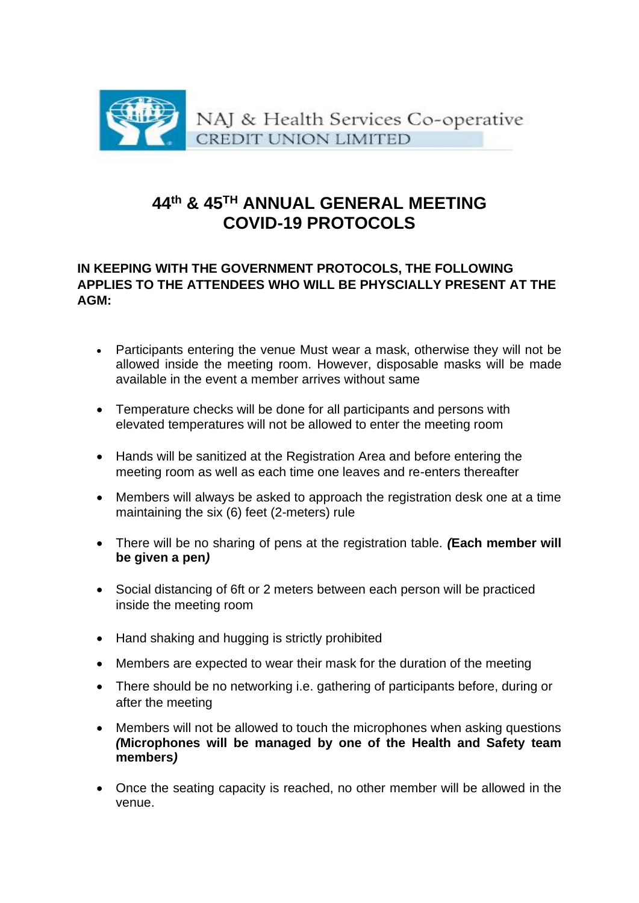

## **44th & 45TH ANNUAL GENERAL MEETING COVID-19 PROTOCOLS**

## **IN KEEPING WITH THE GOVERNMENT PROTOCOLS, THE FOLLOWING APPLIES TO THE ATTENDEES WHO WILL BE PHYSCIALLY PRESENT AT THE AGM:**

- Participants entering the venue Must wear a mask, otherwise they will not be allowed inside the meeting room. However, disposable masks will be made available in the event a member arrives without same
- Temperature checks will be done for all participants and persons with elevated temperatures will not be allowed to enter the meeting room
- Hands will be sanitized at the Registration Area and before entering the meeting room as well as each time one leaves and re-enters thereafter
- Members will always be asked to approach the registration desk one at a time maintaining the six (6) feet (2-meters) rule
- There will be no sharing of pens at the registration table. *(***Each member will be given a pen***)*
- Social distancing of 6ft or 2 meters between each person will be practiced inside the meeting room
- Hand shaking and hugging is strictly prohibited
- Members are expected to wear their mask for the duration of the meeting
- There should be no networking i.e. gathering of participants before, during or after the meeting
- Members will not be allowed to touch the microphones when asking questions *(***Microphones will be managed by one of the Health and Safety team members***)*
- Once the seating capacity is reached, no other member will be allowed in the venue.